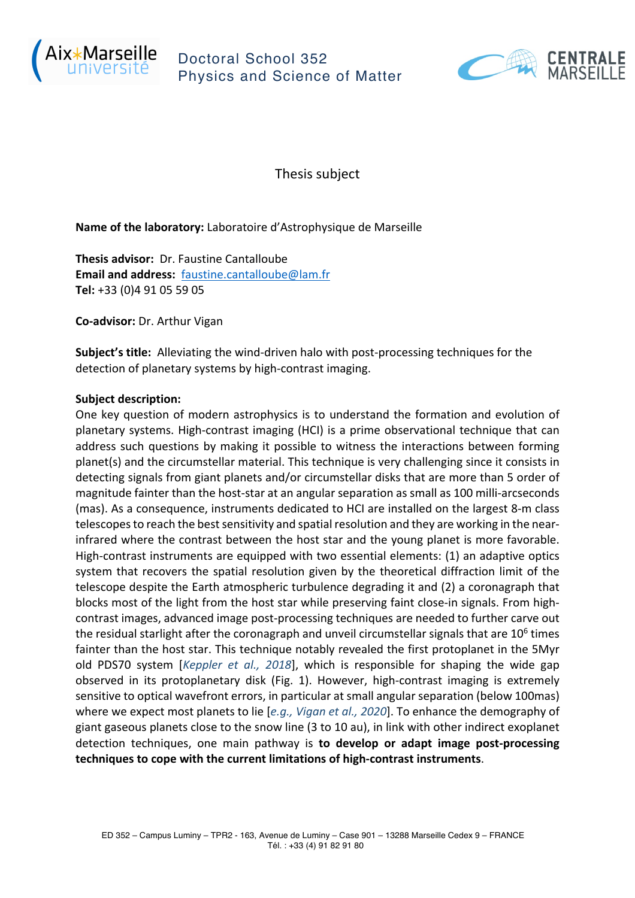

## Doctoral School 352 Physics and Science of Matter



Thesis subject

**Name of the laboratory:** Laboratoire d'Astrophysique de Marseille

**Thesis advisor:** Dr. Faustine Cantalloube **Email and address:** faustine.cantalloube@lam.fr **Tel:** +33 (0)4 91 05 59 05

**Co-advisor:** Dr. Arthur Vigan

**Subject's title:** Alleviating the wind-driven halo with post-processing techniques for the detection of planetary systems by high-contrast imaging.

## **Subject description:**

One key question of modern astrophysics is to understand the formation and evolution of planetary systems. High-contrast imaging (HCI) is a prime observational technique that can address such questions by making it possible to witness the interactions between forming planet(s) and the circumstellar material. This technique is very challenging since it consists in detecting signals from giant planets and/or circumstellar disks that are more than 5 order of magnitude fainter than the host-star at an angular separation as small as 100 milli-arcseconds (mas). As a consequence, instruments dedicated to HCI are installed on the largest 8-m class telescopesto reach the best sensitivity and spatial resolution and they are working in the nearinfrared where the contrast between the host star and the young planet is more favorable. High-contrast instruments are equipped with two essential elements: (1) an adaptive optics system that recovers the spatial resolution given by the theoretical diffraction limit of the telescope despite the Earth atmospheric turbulence degrading it and (2) a coronagraph that blocks most of the light from the host star while preserving faint close-in signals. From highcontrast images, advanced image post-processing techniques are needed to further carve out the residual starlight after the coronagraph and unveil circumstellar signals that are  $10<sup>6</sup>$  times fainter than the host star. This technique notably revealed the first protoplanet in the 5Myr old PDS70 system [*Keppler et al., 2018*], which is responsible for shaping the wide gap observed in its protoplanetary disk (Fig. 1). However, high-contrast imaging is extremely sensitive to optical wavefront errors, in particular at small angular separation (below 100mas) where we expect most planets to lie [*e.g., Vigan et al., 2020*]. To enhance the demography of giant gaseous planets close to the snow line (3 to 10 au), in link with other indirect exoplanet detection techniques, one main pathway is **to develop or adapt image post-processing techniques to cope with the current limitations of high-contrast instruments**.